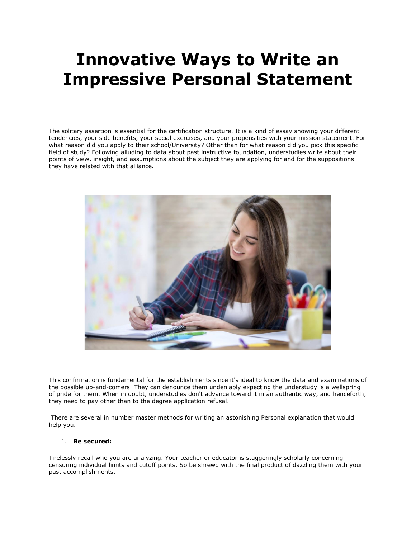# **Innovative Ways to Write an Impressive Personal Statement**

The solitary assertion is essential for the certification structure. It is a kind of essay showing your different tendencies, your side benefits, your social exercises, and your propensities with your mission statement. For what reason did you apply to their school/University? Other than for what reason did you pick this specific field of study? Following alluding to data about past instructive foundation, understudies write about their points of view, insight, and assumptions about the subject they are applying for and for the suppositions they have related with that alliance.



This confirmation is fundamental for the establishments since it's ideal to know the data and examinations of the possible up-and-comers. They can denounce them undeniably expecting the understudy is a wellspring of pride for them. When in doubt, understudies don't advance toward it in an authentic way, and henceforth, they need to pay other than to the degree application refusal.

There are several in number master methods for writing an astonishing Personal explanation that would help you.

#### 1. **Be secured:**

Tirelessly recall who you are analyzing. Your teacher or educator is staggeringly scholarly concerning censuring individual limits and cutoff points. So be shrewd with the final product of dazzling them with your past accomplishments.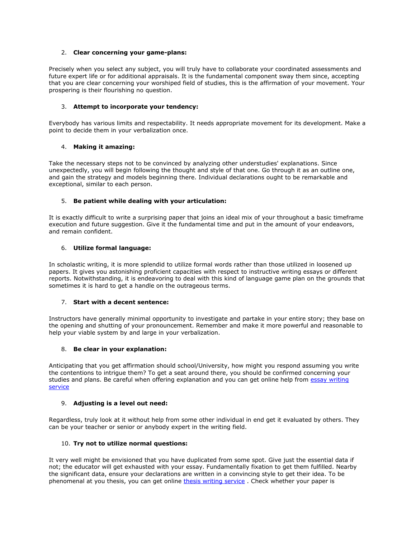## 2. **Clear concerning your game-plans:**

Precisely when you select any subject, you will truly have to collaborate your coordinated assessments and future expert life or for additional appraisals. It is the fundamental component sway them since, accepting that you are clear concerning your worshiped field of studies, this is the affirmation of your movement. Your prospering is their flourishing no question.

## 3. **Attempt to incorporate your tendency:**

Everybody has various limits and respectability. It needs appropriate movement for its development. Make a point to decide them in your verbalization once.

#### 4. **Making it amazing:**

Take the necessary steps not to be convinced by analyzing other understudies' explanations. Since unexpectedly, you will begin following the thought and style of that one. Go through it as an outline one, and gain the strategy and models beginning there. Individual declarations ought to be remarkable and exceptional, similar to each person.

## 5. **Be patient while dealing with your articulation:**

It is exactly difficult to write a surprising paper that joins an ideal mix of your throughout a basic timeframe execution and future suggestion. Give it the fundamental time and put in the amount of your endeavors, and remain confident.

#### 6. **Utilize formal language:**

In scholastic writing, it is more splendid to utilize formal words rather than those utilized in loosened up papers. It gives you astonishing proficient capacities with respect to instructive writing essays or different reports. Notwithstanding, it is endeavoring to deal with this kind of language game plan on the grounds that sometimes it is hard to get a handle on the outrageous terms.

### 7. **Start with a decent sentence:**

Instructors have generally minimal opportunity to investigate and partake in your entire story; they base on the opening and shutting of your pronouncement. Remember and make it more powerful and reasonable to help your viable system by and large in your verbalization.

#### 8. **Be clear in your explanation:**

Anticipating that you get affirmation should school/University, how might you respond assuming you write the contentions to intrigue them? To get a seat around there, you should be confirmed concerning your studies and plans. Be careful when offering explanation and you can get online help from essay writing [service](https://www.essaywritingservice.college/)

#### 9. **Adjusting is a level out need:**

Regardless, truly look at it without help from some other individual in end get it evaluated by others. They can be your teacher or senior or anybody expert in the writing field.

#### 10. **Try not to utilize normal questions:**

It very well might be envisioned that you have duplicated from some spot. Give just the essential data if not; the educator will get exhausted with your essay. Fundamentally fixation to get them fulfilled. Nearby the significant data, ensure your declarations are written in a convincing style to get their idea. To be phenomenal at you thesis, you can get online [thesis writing service](https://www.gradschoolgenius.com/thesis-writing-service) . Check whether your paper is